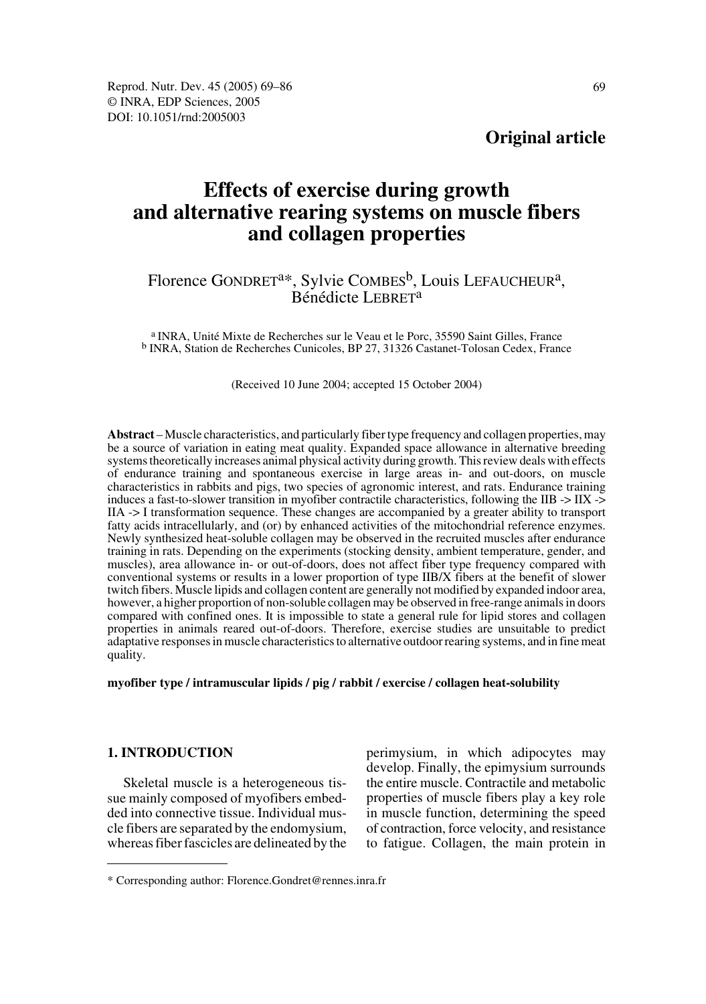**Original article**

# **Effects of exercise during growth and alternative rearing systems on muscle fibers and collagen properties**

# Florence GONDRET<sup>a\*</sup>, Sylvie COMBES<sup>b</sup>, Louis LEFAUCHEUR<sup>a</sup>,<br>Bénédicte LEBRET<sup>a</sup>

a INRA, Unité Mixte de Recherches sur le Veau et le Porc, 35590 Saint Gilles, France b INRA, Station de Recherches Cunicoles, BP 27, 31326 Castanet-Tolosan Cedex, France

(Received 10 June 2004; accepted 15 October 2004)

**Abstract** –Muscle characteristics, and particularly fiber type frequency and collagen properties, may be a source of variation in eating meat quality. Expanded space allowance in alternative breeding systems theoretically increases animal physical activity during growth. This review deals with effects of endurance training and spontaneous exercise in large areas in- and out-doors, on muscle characteristics in rabbits and pigs, two species of agronomic interest, and rats. Endurance training induces a fast-to-slower transition in myofiber contractile characteristics, following the IIB -> IIX -> IIA -> I transformation sequence. These changes are accompanied by a greater ability to transport fatty acids intracellularly, and (or) by enhanced activities of the mitochondrial reference enzymes. Newly synthesized heat-soluble collagen may be observed in the recruited muscles after endurance training in rats. Depending on the experiments (stocking density, ambient temperature, gender, and muscles), area allowance in- or out-of-doors, does not affect fiber type frequency compared with conventional systems or results in a lower proportion of type IIB/X fibers at the benefit of slower twitch fibers. Muscle lipids and collagen content are generally not modified by expanded indoor area, however, a higher proportion of non-soluble collagen may be observed in free-range animals in doors compared with confined ones. It is impossible to state a general rule for lipid stores and collagen properties in animals reared out-of-doors. Therefore, exercise studies are unsuitable to predict adaptative responses in muscle characteristics to alternative outdoor rearing systems, and in fine meat quality.

**myofiber type / intramuscular lipids / pig / rabbit / exercise / collagen heat-solubility**

### **1. INTRODUCTION**

Skeletal muscle is a heterogeneous tissue mainly composed of myofibers embedded into connective tissue. Individual muscle fibers are separated by the endomysium, whereas fiber fascicles are delineated by the perimysium, in which adipocytes may develop. Finally, the epimysium surrounds the entire muscle. Contractile and metabolic properties of muscle fibers play a key role in muscle function, determining the speed of contraction, force velocity, and resistance to fatigue. Collagen, the main protein in

<sup>\*</sup> Corresponding author: Florence.Gondret@rennes.inra.fr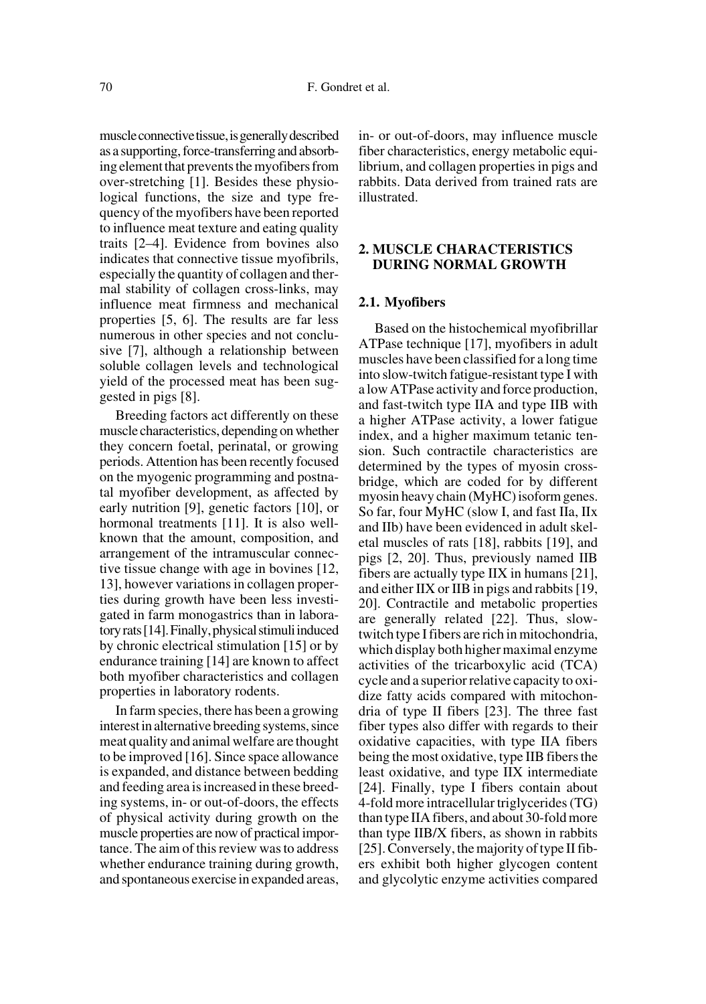muscle connective tissue, is generally described as a supporting, force-transferring and absorbing element that prevents the myofibers from over-stretching [1]. Besides these physiological functions, the size and type frequency of the myofibers have been reported to influence meat texture and eating quality traits [2–4]. Evidence from bovines also indicates that connective tissue myofibrils, especially the quantity of collagen and thermal stability of collagen cross-links, may influence meat firmness and mechanical properties [5, 6]. The results are far less numerous in other species and not conclusive [7], although a relationship between soluble collagen levels and technological yield of the processed meat has been suggested in pigs [8].

Breeding factors act differently on these muscle characteristics, depending on whether they concern foetal, perinatal, or growing periods. Attention has been recently focused on the myogenic programming and postnatal myofiber development, as affected by early nutrition [9], genetic factors [10], or hormonal treatments [11]. It is also wellknown that the amount, composition, and arrangement of the intramuscular connective tissue change with age in bovines [12, 13], however variations in collagen properties during growth have been less investigated in farm monogastrics than in laboratory rats [14]. Finally, physical stimuli induced by chronic electrical stimulation [15] or by endurance training [14] are known to affect both myofiber characteristics and collagen properties in laboratory rodents.

In farm species, there has been a growing interest in alternative breeding systems, since meat quality and animal welfare are thought to be improved [16]. Since space allowance is expanded, and distance between bedding and feeding area is increased in these breeding systems, in- or out-of-doors, the effects of physical activity during growth on the muscle properties are now of practical importance. The aim of this review was to address whether endurance training during growth, and spontaneous exercise in expanded areas,

in- or out-of-doors, may influence muscle fiber characteristics, energy metabolic equilibrium, and collagen properties in pigs and rabbits. Data derived from trained rats are illustrated.

### **2. MUSCLE CHARACTERISTICS DURING NORMAL GROWTH**

#### **2.1. Myofibers**

Based on the histochemical myofibrillar ATPase technique [17], myofibers in adult muscles have been classified for a long time into slow-twitch fatigue-resistant type I with a low ATPase activity and force production, and fast-twitch type IIA and type IIB with a higher ATPase activity, a lower fatigue index, and a higher maximum tetanic tension. Such contractile characteristics are determined by the types of myosin crossbridge, which are coded for by different myosin heavy chain (MyHC) isoform genes. So far, four MyHC (slow I, and fast IIa, IIx and IIb) have been evidenced in adult skeletal muscles of rats [18], rabbits [19], and pigs [2, 20]. Thus, previously named IIB fibers are actually type IIX in humans [21], and either IIX or IIB in pigs and rabbits [19, 20]. Contractile and metabolic properties are generally related [22]. Thus, slowtwitch type I fibers are rich in mitochondria, which display both higher maximal enzyme activities of the tricarboxylic acid (TCA) cycle and a superior relative capacity to oxidize fatty acids compared with mitochondria of type II fibers [23]. The three fast fiber types also differ with regards to their oxidative capacities, with type IIA fibers being the most oxidative, type IIB fibers the least oxidative, and type IIX intermediate [24]. Finally, type I fibers contain about 4-fold more intracellular triglycerides (TG) than type IIA fibers, and about 30-fold more than type IIB/X fibers, as shown in rabbits [25]. Conversely, the majority of type II fibers exhibit both higher glycogen content and glycolytic enzyme activities compared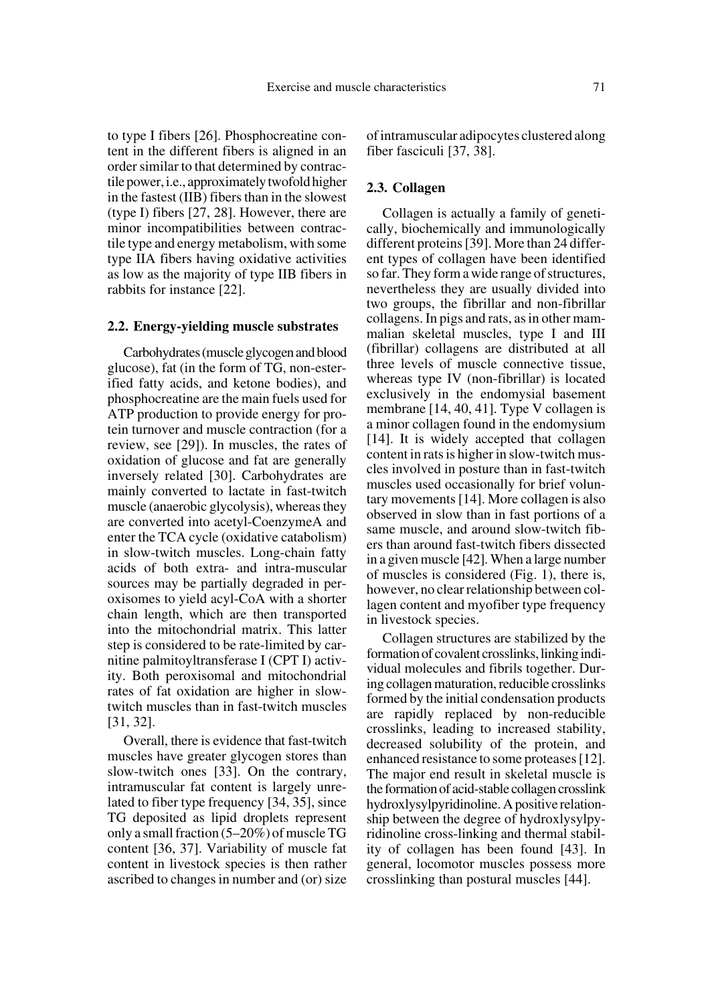to type I fibers [26]. Phosphocreatine content in the different fibers is aligned in an order similar to that determined by contractile power, i.e., approximately twofold higher in the fastest (IIB) fibers than in the slowest (type I) fibers [27, 28]. However, there are minor incompatibilities between contractile type and energy metabolism, with some type IIA fibers having oxidative activities as low as the majority of type IIB fibers in rabbits for instance [22].

#### **2.2. Energy-yielding muscle substrates**

Carbohydrates (muscle glycogen and blood glucose), fat (in the form of TG, non-esterified fatty acids, and ketone bodies), and phosphocreatine are the main fuels used for ATP production to provide energy for protein turnover and muscle contraction (for a review, see [29]). In muscles, the rates of oxidation of glucose and fat are generally inversely related [30]. Carbohydrates are mainly converted to lactate in fast-twitch muscle (anaerobic glycolysis), whereas they are converted into acetyl-CoenzymeA and enter the TCA cycle (oxidative catabolism) in slow-twitch muscles. Long-chain fatty acids of both extra- and intra-muscular sources may be partially degraded in peroxisomes to yield acyl-CoA with a shorter chain length, which are then transported into the mitochondrial matrix. This latter step is considered to be rate-limited by carnitine palmitoyltransferase I (CPT I) activity. Both peroxisomal and mitochondrial rates of fat oxidation are higher in slowtwitch muscles than in fast-twitch muscles [31, 32].

Overall, there is evidence that fast-twitch muscles have greater glycogen stores than slow-twitch ones [33]. On the contrary, intramuscular fat content is largely unrelated to fiber type frequency [34, 35], since TG deposited as lipid droplets represent only a small fraction (5–20%) of muscle TG content [36, 37]. Variability of muscle fat content in livestock species is then rather ascribed to changes in number and (or) size of intramuscular adipocytes clustered along fiber fasciculi [37, 38].

#### **2.3. Collagen**

Collagen is actually a family of genetically, biochemically and immunologically different proteins [39]. More than 24 different types of collagen have been identified so far. They form a wide range of structures, nevertheless they are usually divided into two groups, the fibrillar and non-fibrillar collagens. In pigs and rats, as in other mammalian skeletal muscles, type I and III (fibrillar) collagens are distributed at all three levels of muscle connective tissue, whereas type IV (non-fibrillar) is located exclusively in the endomysial basement membrane [14, 40, 41]. Type V collagen is a minor collagen found in the endomysium [14]. It is widely accepted that collagen content in rats is higher in slow-twitch muscles involved in posture than in fast-twitch muscles used occasionally for brief voluntary movements [14]. More collagen is also observed in slow than in fast portions of a same muscle, and around slow-twitch fibers than around fast-twitch fibers dissected in a given muscle [42]. When a large number of muscles is considered (Fig. 1), there is, however, no clear relationship between collagen content and myofiber type frequency in livestock species.

Collagen structures are stabilized by the formation of covalent crosslinks, linking individual molecules and fibrils together. During collagen maturation, reducible crosslinks formed by the initial condensation products are rapidly replaced by non-reducible crosslinks, leading to increased stability, decreased solubility of the protein, and enhanced resistance to some proteases [12]. The major end result in skeletal muscle is the formation of acid-stable collagen crosslink hydroxlysylpyridinoline. A positive relationship between the degree of hydroxlysylpyridinoline cross-linking and thermal stability of collagen has been found [43]. In general, locomotor muscles possess more crosslinking than postural muscles [44].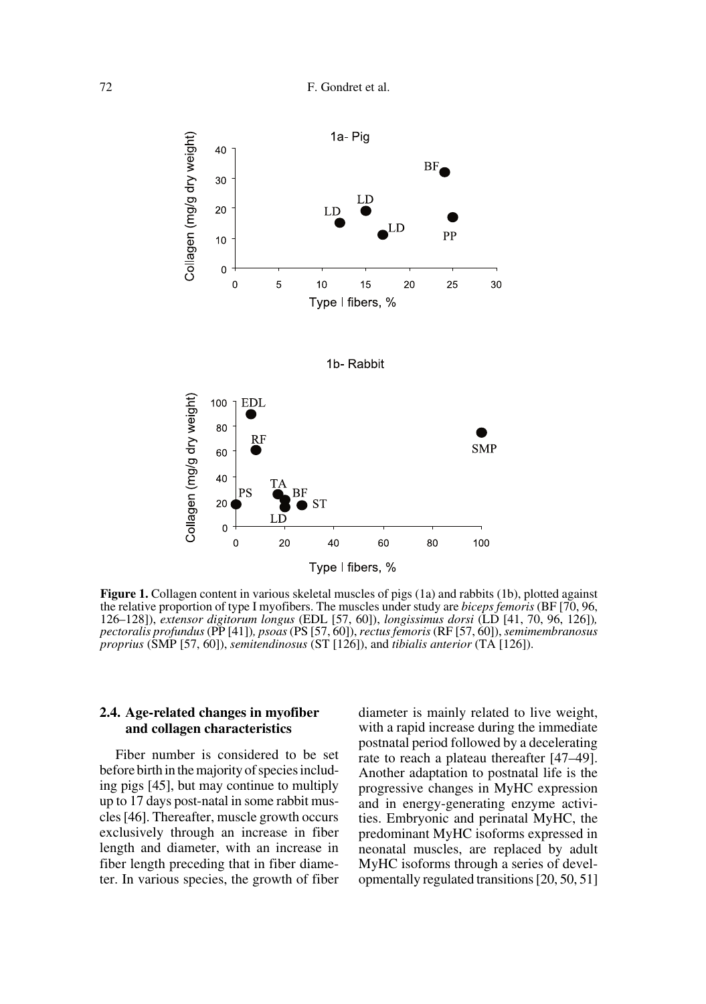

**Figure 1.** Collagen content in various skeletal muscles of pigs (1a) and rabbits (1b), plotted against the relative proportion of type I myofibers. The muscles under study are *biceps femoris* (BF [70, 96, 126–128]), *extensor digitorum longus* (EDL [57, 60]), *longissimus dorsi* (LD [41, 70, 96, 126])*, pectoralis profundus* (PP [41])*, psoas* (PS [57, 60]), *rectus femoris* (RF [57, 60]), *semimembranosus proprius* (SMP [57, 60]), *semitendinosus* (ST [126]), and *tibialis anterior* (TA [126]).

#### **2.4. Age-related changes in myofiber and collagen characteristics**

Fiber number is considered to be set before birth in the majority of species including pigs [45], but may continue to multiply up to 17 days post-natal in some rabbit muscles [46]. Thereafter, muscle growth occurs exclusively through an increase in fiber length and diameter, with an increase in fiber length preceding that in fiber diameter. In various species, the growth of fiber diameter is mainly related to live weight, with a rapid increase during the immediate postnatal period followed by a decelerating rate to reach a plateau thereafter [47–49]. Another adaptation to postnatal life is the progressive changes in MyHC expression and in energy-generating enzyme activities. Embryonic and perinatal MyHC, the predominant MyHC isoforms expressed in neonatal muscles, are replaced by adult MyHC isoforms through a series of developmentally regulated transitions [20, 50, 51]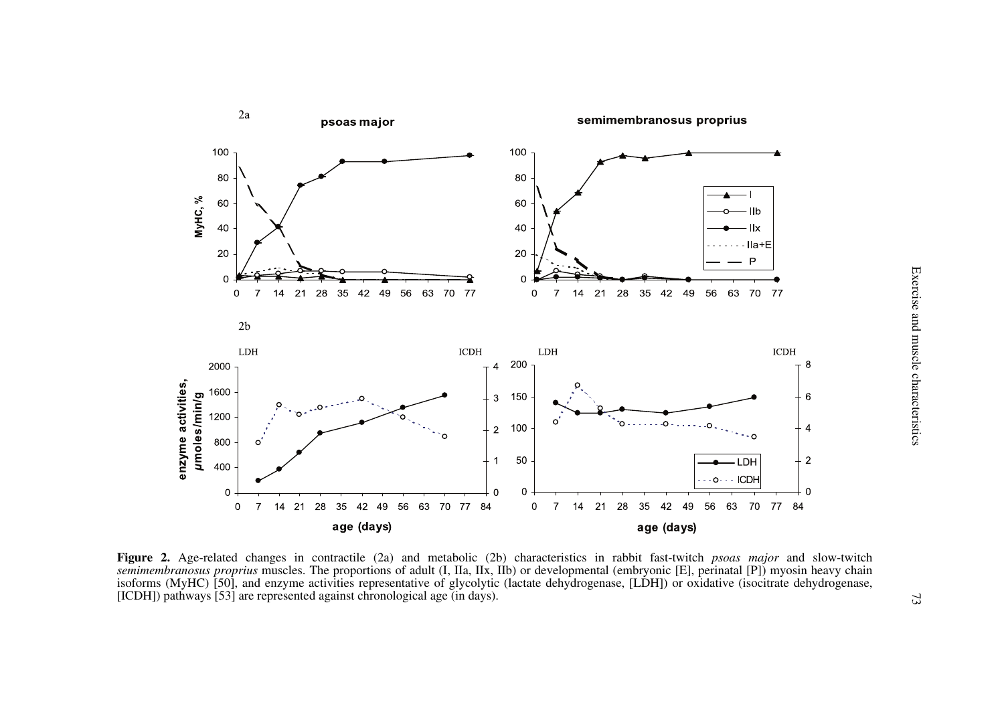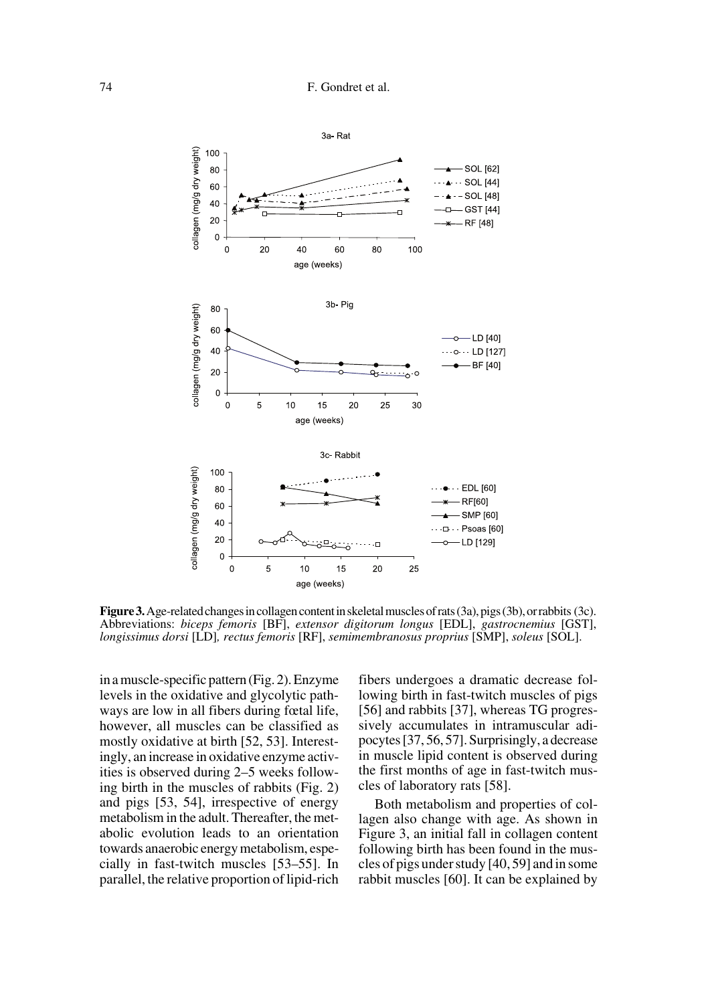

**Figure 3.** Age-related changes in collagen content in skeletal muscles of rats (3a), pigs (3b), or rabbits (3c). Abbreviations: *biceps femoris* [BF], *extensor digitorum longus* [EDL], *gastrocnemius* [GST], *longissimus dorsi* [LD]*, rectus femoris* [RF], *semimembranosus proprius* [SMP], *soleus* [SOL].

in a muscle-specific pattern (Fig. 2). Enzyme levels in the oxidative and glycolytic pathways are low in all fibers during fœtal life, however, all muscles can be classified as mostly oxidative at birth [52, 53]. Interestingly, an increase in oxidative enzyme activities is observed during 2–5 weeks following birth in the muscles of rabbits (Fig. 2) and pigs [53, 54], irrespective of energy metabolism in the adult. Thereafter, the metabolic evolution leads to an orientation towards anaerobic energy metabolism, especially in fast-twitch muscles [53–55]. In parallel, the relative proportion of lipid-rich fibers undergoes a dramatic decrease following birth in fast-twitch muscles of pigs [56] and rabbits [37], whereas TG progressively accumulates in intramuscular adipocytes [37, 56, 57]. Surprisingly, a decrease in muscle lipid content is observed during the first months of age in fast-twitch muscles of laboratory rats [58].

Both metabolism and properties of collagen also change with age. As shown in Figure 3, an initial fall in collagen content following birth has been found in the muscles of pigs under study [40, 59] and in some rabbit muscles [60]. It can be explained by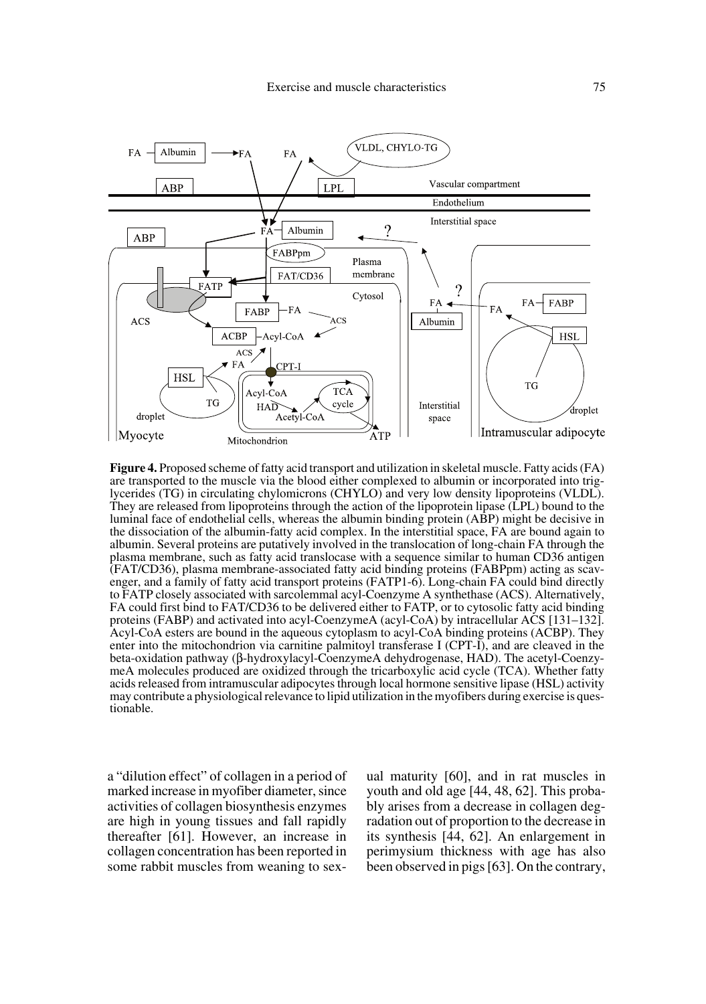

**Figure 4.** Proposed scheme of fatty acid transport and utilization in skeletal muscle. Fatty acids (FA) are transported to the muscle via the blood either complexed to albumin or incorporated into triglycerides (TG) in circulating chylomicrons (CHYLO) and very low density lipoproteins (VLDL). They are released from lipoproteins through the action of the lipoprotein lipase (LPL) bound to the luminal face of endothelial cells, whereas the albumin binding protein (ABP) might be decisive in the dissociation of the albumin-fatty acid complex. In the interstitial space, FA are bound again to albumin. Several proteins are putatively involved in the translocation of long-chain FA through the plasma membrane, such as fatty acid translocase with a sequence similar to human CD36 antigen (FAT/CD36), plasma membrane-associated fatty acid binding proteins (FABPpm) acting as scavenger, and a family of fatty acid transport proteins (FATP1-6). Long-chain FA could bind directly to FATP closely associated with sarcolemmal acyl-Coenzyme A synthethase (ACS). Alternatively, FA could first bind to FAT/CD36 to be delivered either to FATP, or to cytosolic fatty acid binding proteins (FABP) and activated into acyl-CoenzymeA (acyl-CoA) by intracellular ACS [131–132]. Acyl-CoA esters are bound in the aqueous cytoplasm to acyl-CoA binding proteins (ACBP). They enter into the mitochondrion via carnitine palmitoyl transferase I (CPT-I), and are cleaved in the beta-oxidation pathway (β-hydroxylacyl-CoenzymeA dehydrogenase, HAD). The acetyl-CoenzymeA molecules produced are oxidized through the tricarboxylic acid cycle (TCA). Whether fatty acids released from intramuscular adipocytes through local hormone sensitive lipase (HSL) activity may contribute a physiological relevance to lipid utilization in the myofibers during exercise is questionable.

a "dilution effect" of collagen in a period of marked increase in myofiber diameter, since activities of collagen biosynthesis enzymes are high in young tissues and fall rapidly thereafter [61]. However, an increase in collagen concentration has been reported in some rabbit muscles from weaning to sexual maturity [60], and in rat muscles in youth and old age [44, 48, 62]. This probably arises from a decrease in collagen degradation out of proportion to the decrease in its synthesis [44, 62]. An enlargement in perimysium thickness with age has also been observed in pigs [63]. On the contrary,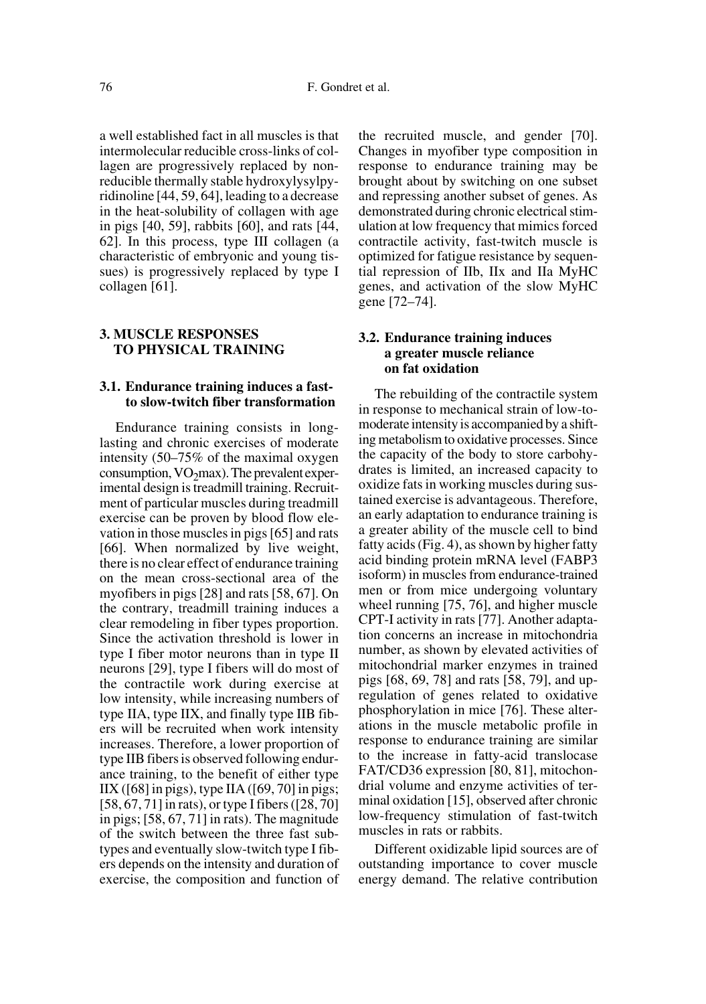a well established fact in all muscles is that intermolecular reducible cross-links of collagen are progressively replaced by nonreducible thermally stable hydroxylysylpyridinoline [44, 59, 64], leading to a decrease in the heat-solubility of collagen with age in pigs [40, 59], rabbits [60], and rats [44, 62]. In this process, type III collagen (a characteristic of embryonic and young tissues) is progressively replaced by type I collagen [61].

# **3. MUSCLE RESPONSES TO PHYSICAL TRAINING**

## **3.1. Endurance training induces a fastto slow-twitch fiber transformation**

Endurance training consists in longlasting and chronic exercises of moderate intensity (50–75% of the maximal oxygen consumption,  $VO<sub>2</sub>max$ ). The prevalent experimental design is treadmill training. Recruitment of particular muscles during treadmill exercise can be proven by blood flow elevation in those muscles in pigs [65] and rats [66]. When normalized by live weight, there is no clear effect of endurance training on the mean cross-sectional area of the myofibers in pigs [28] and rats [58, 67]. On the contrary, treadmill training induces a clear remodeling in fiber types proportion. Since the activation threshold is lower in type I fiber motor neurons than in type II neurons [29], type I fibers will do most of the contractile work during exercise at low intensity, while increasing numbers of type IIA, type IIX, and finally type IIB fibers will be recruited when work intensity increases. Therefore, a lower proportion of type IIB fibers is observed following endurance training, to the benefit of either type  $IIX$  ([68] in pigs), type IIA ([69, 70] in pigs; [58, 67, 71] in rats), or type I fibers ([28, 70] in pigs; [58, 67, 71] in rats). The magnitude of the switch between the three fast subtypes and eventually slow-twitch type I fibers depends on the intensity and duration of exercise, the composition and function of the recruited muscle, and gender [70]. Changes in myofiber type composition in response to endurance training may be brought about by switching on one subset and repressing another subset of genes. As demonstrated during chronic electrical stimulation at low frequency that mimics forced contractile activity, fast-twitch muscle is optimized for fatigue resistance by sequential repression of IIb, IIx and IIa MyHC genes, and activation of the slow MyHC gene [72–74].

#### **3.2. Endurance training induces a greater muscle reliance on fat oxidation**

The rebuilding of the contractile system in response to mechanical strain of low-tomoderate intensity is accompanied by a shifting metabolism to oxidative processes. Since the capacity of the body to store carbohydrates is limited, an increased capacity to oxidize fats in working muscles during sustained exercise is advantageous. Therefore, an early adaptation to endurance training is a greater ability of the muscle cell to bind fatty acids (Fig. 4), as shown by higher fatty acid binding protein mRNA level (FABP3 isoform) in muscles from endurance-trained men or from mice undergoing voluntary wheel running [75, 76], and higher muscle CPT-I activity in rats [77]. Another adaptation concerns an increase in mitochondria number, as shown by elevated activities of mitochondrial marker enzymes in trained pigs [68, 69, 78] and rats [58, 79], and upregulation of genes related to oxidative phosphorylation in mice [76]. These alterations in the muscle metabolic profile in response to endurance training are similar to the increase in fatty-acid translocase FAT/CD36 expression [80, 81], mitochondrial volume and enzyme activities of terminal oxidation [15], observed after chronic low-frequency stimulation of fast-twitch muscles in rats or rabbits.

Different oxidizable lipid sources are of outstanding importance to cover muscle energy demand. The relative contribution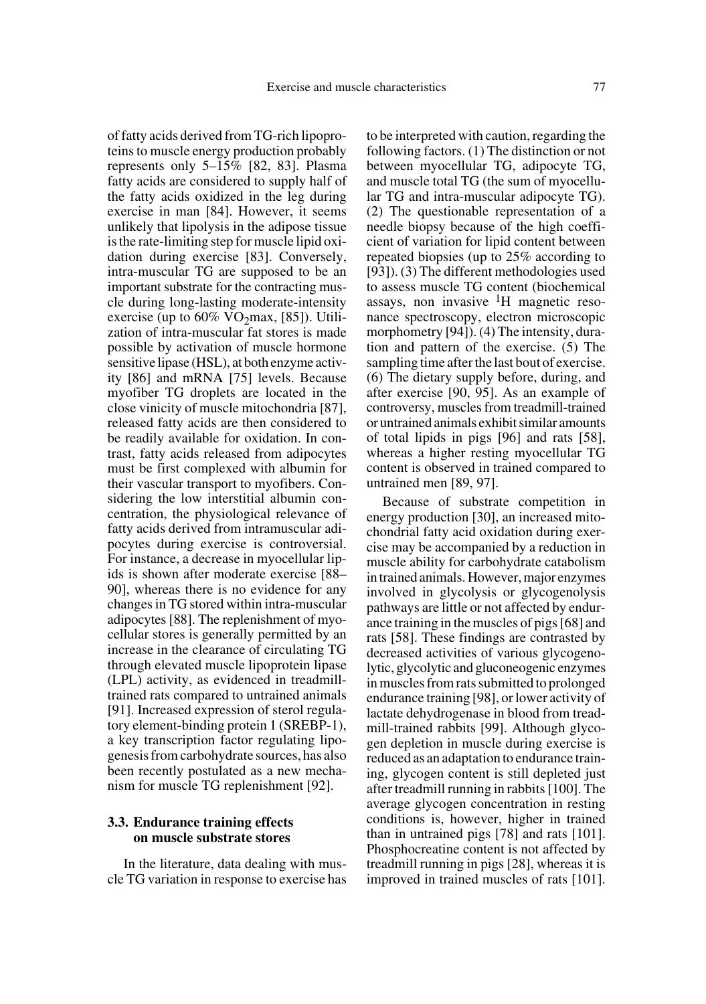of fatty acids derived from TG-rich lipoproteins to muscle energy production probably represents only 5–15% [82, 83]. Plasma fatty acids are considered to supply half of the fatty acids oxidized in the leg during exercise in man [84]. However, it seems unlikely that lipolysis in the adipose tissue is the rate-limiting step for muscle lipid oxidation during exercise [83]. Conversely, intra-muscular TG are supposed to be an important substrate for the contracting muscle during long-lasting moderate-intensity exercise (up to  $60\%$  VO<sub>2</sub>max, [85]). Utilization of intra-muscular fat stores is made possible by activation of muscle hormone sensitive lipase (HSL), at both enzyme activity [86] and mRNA [75] levels. Because myofiber TG droplets are located in the close vinicity of muscle mitochondria [87], released fatty acids are then considered to be readily available for oxidation. In contrast, fatty acids released from adipocytes must be first complexed with albumin for their vascular transport to myofibers. Considering the low interstitial albumin concentration, the physiological relevance of fatty acids derived from intramuscular adipocytes during exercise is controversial. For instance, a decrease in myocellular lipids is shown after moderate exercise [88– 90], whereas there is no evidence for any changes in TG stored within intra-muscular adipocytes [88]. The replenishment of myocellular stores is generally permitted by an increase in the clearance of circulating TG through elevated muscle lipoprotein lipase (LPL) activity, as evidenced in treadmilltrained rats compared to untrained animals [91]. Increased expression of sterol regulatory element-binding protein 1 (SREBP-1), a key transcription factor regulating lipogenesis from carbohydrate sources, has also been recently postulated as a new mechanism for muscle TG replenishment [92].

# **3.3. Endurance training effects on muscle substrate stores**

In the literature, data dealing with muscle TG variation in response to exercise has to be interpreted with caution, regarding the following factors. (1) The distinction or not between myocellular TG, adipocyte TG, and muscle total TG (the sum of myocellular TG and intra-muscular adipocyte TG). (2) The questionable representation of a needle biopsy because of the high coefficient of variation for lipid content between repeated biopsies (up to 25% according to [93]). (3) The different methodologies used to assess muscle TG content (biochemical assays, non invasive  ${}^{1}H$  magnetic resonance spectroscopy, electron microscopic morphometry [94]). (4) The intensity, duration and pattern of the exercise. (5) The sampling time after the last bout of exercise. (6) The dietary supply before, during, and after exercise [90, 95]. As an example of controversy, muscles from treadmill-trained or untrained animals exhibit similar amounts of total lipids in pigs [96] and rats [58], whereas a higher resting myocellular TG content is observed in trained compared to untrained men [89, 97].

Because of substrate competition in energy production [30], an increased mitochondrial fatty acid oxidation during exercise may be accompanied by a reduction in muscle ability for carbohydrate catabolism in trained animals. However, major enzymes involved in glycolysis or glycogenolysis pathways are little or not affected by endurance training in the muscles of pigs [68] and rats [58]. These findings are contrasted by decreased activities of various glycogenolytic, glycolytic and gluconeogenic enzymes in muscles from rats submitted to prolonged endurance training [98], or lower activity of lactate dehydrogenase in blood from treadmill-trained rabbits [99]. Although glycogen depletion in muscle during exercise is reduced as an adaptation to endurance training, glycogen content is still depleted just after treadmill running in rabbits [100]. The average glycogen concentration in resting conditions is, however, higher in trained than in untrained pigs [78] and rats [101]. Phosphocreatine content is not affected by treadmill running in pigs [28], whereas it is improved in trained muscles of rats [101].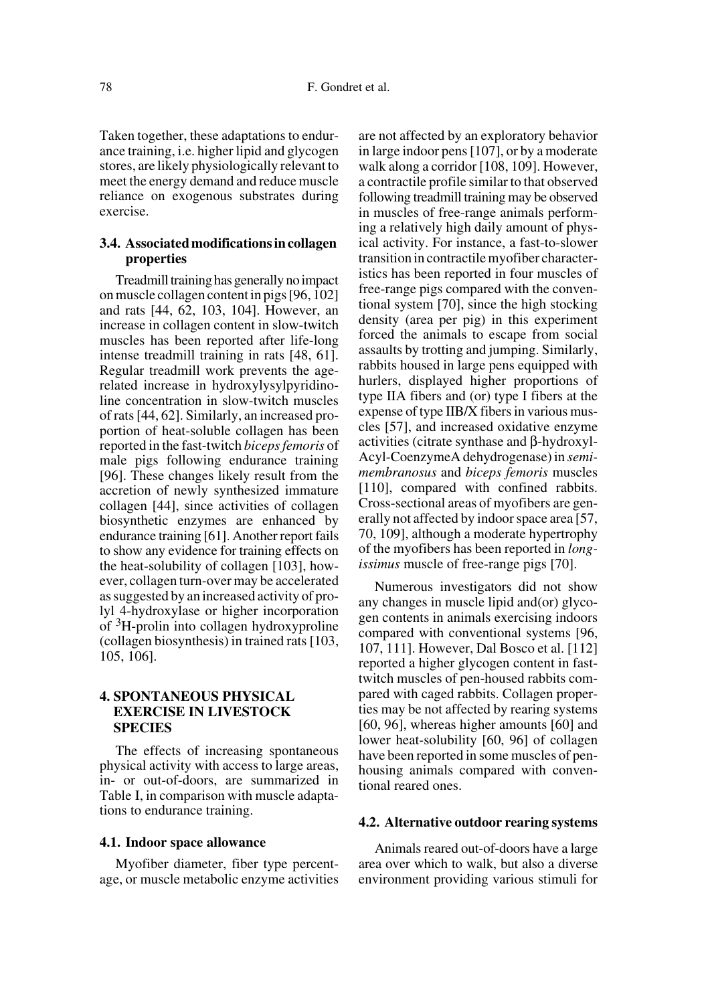Taken together, these adaptations to endurance training, i.e. higher lipid and glycogen stores, are likely physiologically relevant to meet the energy demand and reduce muscle reliance on exogenous substrates during exercise.

### **3.4. Associated modifications in collagen properties**

Treadmill training has generally no impact on muscle collagen content in pigs [96, 102] and rats [44, 62, 103, 104]. However, an increase in collagen content in slow-twitch muscles has been reported after life-long intense treadmill training in rats [48, 61]. Regular treadmill work prevents the agerelated increase in hydroxylysylpyridinoline concentration in slow-twitch muscles of rats [44, 62]. Similarly, an increased proportion of heat-soluble collagen has been reported in the fast-twitch *biceps femoris* of male pigs following endurance training [96]. These changes likely result from the accretion of newly synthesized immature collagen [44], since activities of collagen biosynthetic enzymes are enhanced by endurance training [61]. Another report fails to show any evidence for training effects on the heat-solubility of collagen [103], however, collagen turn-over may be accelerated as suggested by an increased activity of prolyl 4-hydroxylase or higher incorporation of 3H-prolin into collagen hydroxyproline (collagen biosynthesis) in trained rats [103, 105, 106].

# **4. SPONTANEOUS PHYSICAL EXERCISE IN LIVESTOCK SPECIES**

The effects of increasing spontaneous physical activity with access to large areas, in- or out-of-doors, are summarized in Table I, in comparison with muscle adaptations to endurance training.

#### **4.1. Indoor space allowance**

Myofiber diameter, fiber type percentage, or muscle metabolic enzyme activities are not affected by an exploratory behavior in large indoor pens [107], or by a moderate walk along a corridor [108, 109]. However, a contractile profile similar to that observed following treadmill training may be observed in muscles of free-range animals performing a relatively high daily amount of physical activity. For instance, a fast-to-slower transition in contractile myofiber characteristics has been reported in four muscles of free-range pigs compared with the conventional system [70], since the high stocking density (area per pig) in this experiment forced the animals to escape from social assaults by trotting and jumping. Similarly, rabbits housed in large pens equipped with hurlers, displayed higher proportions of type IIA fibers and (or) type I fibers at the expense of type IIB/X fibers in various muscles [57], and increased oxidative enzyme activities (citrate synthase and β-hydroxyl-Acyl-CoenzymeA dehydrogenase) in *semimembranosus* and *biceps femoris* muscles [110], compared with confined rabbits. Cross-sectional areas of myofibers are generally not affected by indoor space area [57, 70, 109], although a moderate hypertrophy of the myofibers has been reported in *longissimus* muscle of free-range pigs [70].

Numerous investigators did not show any changes in muscle lipid and(or) glycogen contents in animals exercising indoors compared with conventional systems [96, 107, 111]. However, Dal Bosco et al. [112] reported a higher glycogen content in fasttwitch muscles of pen-housed rabbits compared with caged rabbits. Collagen properties may be not affected by rearing systems [60, 96], whereas higher amounts [60] and lower heat-solubility [60, 96] of collagen have been reported in some muscles of penhousing animals compared with conventional reared ones.

#### **4.2. Alternative outdoor rearing systems**

Animals reared out-of-doors have a large area over which to walk, but also a diverse environment providing various stimuli for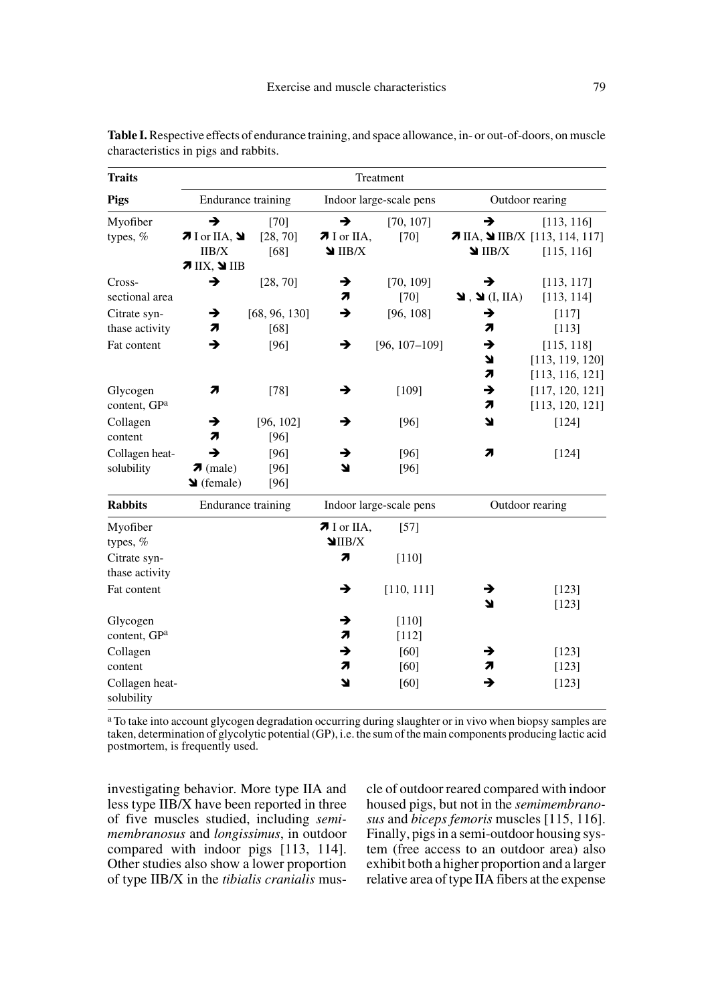| <b>Traits</b>                  | Treatment                                  |                       |                                  |                     |                                               |                                                         |
|--------------------------------|--------------------------------------------|-----------------------|----------------------------------|---------------------|-----------------------------------------------|---------------------------------------------------------|
| <b>Pigs</b>                    | <b>Endurance training</b>                  |                       | Indoor large-scale pens          |                     | Outdoor rearing                               |                                                         |
| Myofiber<br>types, $%$         | $\rightarrow$<br>$7$ I or IIA, $9$         | $[70]$<br>[28, 70]    | $\rightarrow$<br>$\pi$ I or IIA, | [70, 107]<br>$[70]$ | →                                             | [113, 116]<br>$\pi$ IIA, $\Delta$ IIB/X [113, 114, 117] |
|                                | IIB/X<br>$7$ IIX, $9$ IIB                  | [68]                  | $\blacksquare$ IIB/X             |                     | $\blacksquare$ IIB/X                          | [115, 116]                                              |
| Cross-<br>sectional area       | →                                          | [28, 70]              | →<br>71                          | [70, 109]<br>$[70]$ | →<br>$\blacksquare$ . $\blacksquare$ (I, IIA) | [113, 117]<br>[113, 114]                                |
| Citrate syn-<br>thase activity | →<br>7                                     | [68, 96, 130]<br>[68] | $\rightarrow$                    | [96, 108]           | →<br>7                                        | [117]<br>[113]                                          |
| Fat content                    | →                                          | [96]                  | →                                | $[96, 107 - 109]$   | →<br>7<br>71                                  | [115, 118]<br>[113, 119, 120]<br>[113, 116, 121]        |
| Glycogen<br>content, GPa       | 71                                         | $[78]$                | →                                | [109]               | →<br>71                                       | [117, 120, 121]<br>[113, 120, 121]                      |
| Collagen<br>content            | →<br>71                                    | [96, 102]<br>[96]     | →                                | [96]                | 7                                             | [124]                                                   |
| Collagen heat-<br>solubility   | →<br>$\pi$ (male)<br>$\triangleq$ (female) | [96]<br>[96]<br>[96]  | →<br>N                           | [96]<br>[96]        | 71                                            | [124]                                                   |
| <b>Rabbits</b>                 | <b>Endurance training</b>                  |                       | Indoor large-scale pens          |                     | Outdoor rearing                               |                                                         |
| Myofiber<br>types, %           |                                            |                       | $\pi$ I or IIA,<br>$\Pi$ IIB/X   | [57]                |                                               |                                                         |
| Citrate syn-<br>thase activity |                                            |                       | 7                                | $[110]$             |                                               |                                                         |
| Fat content                    |                                            |                       | →                                | [110, 111]          | →<br>Ľ                                        | [123]<br>[123]                                          |
| Glycogen<br>content, GPa       |                                            |                       | →<br>71                          | [110]<br>$[112]$    |                                               |                                                         |
| Collagen<br>content            |                                            |                       | →<br>71                          | [60]<br>$[60]$      | →<br>71                                       | [123]<br>[123]                                          |
| Collagen heat-<br>solubility   |                                            |                       | Ľ                                | [60]                | →                                             | [123]                                                   |

**Table I.** Respective effects of endurance training, and space allowance, in- or out-of-doors, on muscle characteristics in pigs and rabbits.

a To take into account glycogen degradation occurring during slaughter or in vivo when biopsy samples are taken, determination of glycolytic potential (GP), i.e. the sum of the main components producing lactic acid postmortem, is frequently used.

investigating behavior. More type IIA and less type IIB/X have been reported in three of five muscles studied, including *semimembranosus* and *longissimus*, in outdoor compared with indoor pigs [113, 114]. Other studies also show a lower proportion of type IIB/X in the *tibialis cranialis* muscle of outdoor reared compared with indoor housed pigs, but not in the *semimembranosus* and *biceps femoris* muscles [115, 116]. Finally, pigs in a semi-outdoor housing system (free access to an outdoor area) also exhibit both a higher proportion and a larger relative area of type IIA fibers at the expense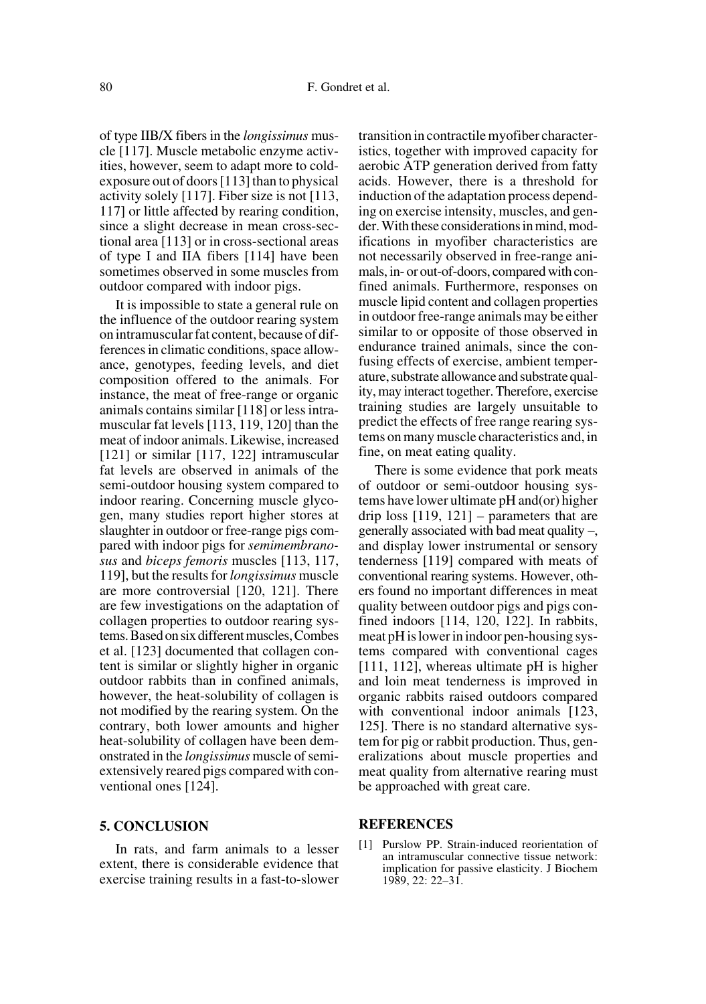of type IIB/X fibers in the *longissimus* muscle [117]. Muscle metabolic enzyme activities, however, seem to adapt more to coldexposure out of doors [113] than to physical activity solely [117]. Fiber size is not [113, 117] or little affected by rearing condition, since a slight decrease in mean cross-sectional area [113] or in cross-sectional areas of type I and IIA fibers [114] have been sometimes observed in some muscles from outdoor compared with indoor pigs.

It is impossible to state a general rule on the influence of the outdoor rearing system on intramuscular fat content, because of differences in climatic conditions, space allowance, genotypes, feeding levels, and diet composition offered to the animals. For instance, the meat of free-range or organic animals contains similar [118] or less intramuscular fat levels [113, 119, 120] than the meat of indoor animals. Likewise, increased [121] or similar [117, 122] intramuscular fat levels are observed in animals of the semi-outdoor housing system compared to indoor rearing. Concerning muscle glycogen, many studies report higher stores at slaughter in outdoor or free-range pigs compared with indoor pigs for *semimembranosus* and *biceps femoris* muscles [113, 117, 119], but the results for *longissimus* muscle are more controversial [120, 121]. There are few investigations on the adaptation of collagen properties to outdoor rearing systems. Based on six different muscles, Combes et al. [123] documented that collagen content is similar or slightly higher in organic outdoor rabbits than in confined animals, however, the heat-solubility of collagen is not modified by the rearing system. On the contrary, both lower amounts and higher heat-solubility of collagen have been demonstrated in the *longissimus* muscle of semiextensively reared pigs compared with conventional ones [124].

#### **5. CONCLUSION**

In rats, and farm animals to a lesser extent, there is considerable evidence that exercise training results in a fast-to-slower transition in contractile myofiber characteristics, together with improved capacity for aerobic ATP generation derived from fatty acids. However, there is a threshold for induction of the adaptation process depending on exercise intensity, muscles, and gender. With these considerations in mind, modifications in myofiber characteristics are not necessarily observed in free-range animals, in- or out-of-doors, compared with confined animals. Furthermore, responses on muscle lipid content and collagen properties in outdoor free-range animals may be either similar to or opposite of those observed in endurance trained animals, since the confusing effects of exercise, ambient temperature, substrate allowance and substrate quality, may interact together. Therefore, exercise training studies are largely unsuitable to predict the effects of free range rearing systems on many muscle characteristics and, in fine, on meat eating quality.

There is some evidence that pork meats of outdoor or semi-outdoor housing systems have lower ultimate pH and(or) higher drip loss [119, 121] – parameters that are generally associated with bad meat quality –, and display lower instrumental or sensory tenderness [119] compared with meats of conventional rearing systems. However, others found no important differences in meat quality between outdoor pigs and pigs confined indoors [114, 120, 122]. In rabbits, meat pH is lower in indoor pen-housing systems compared with conventional cages [111, 112], whereas ultimate pH is higher and loin meat tenderness is improved in organic rabbits raised outdoors compared with conventional indoor animals [123, 125]. There is no standard alternative system for pig or rabbit production. Thus, generalizations about muscle properties and meat quality from alternative rearing must be approached with great care.

#### **REFERENCES**

[1] Purslow PP. Strain-induced reorientation of an intramuscular connective tissue network: implication for passive elasticity. J Biochem 1989, 22: 22–31.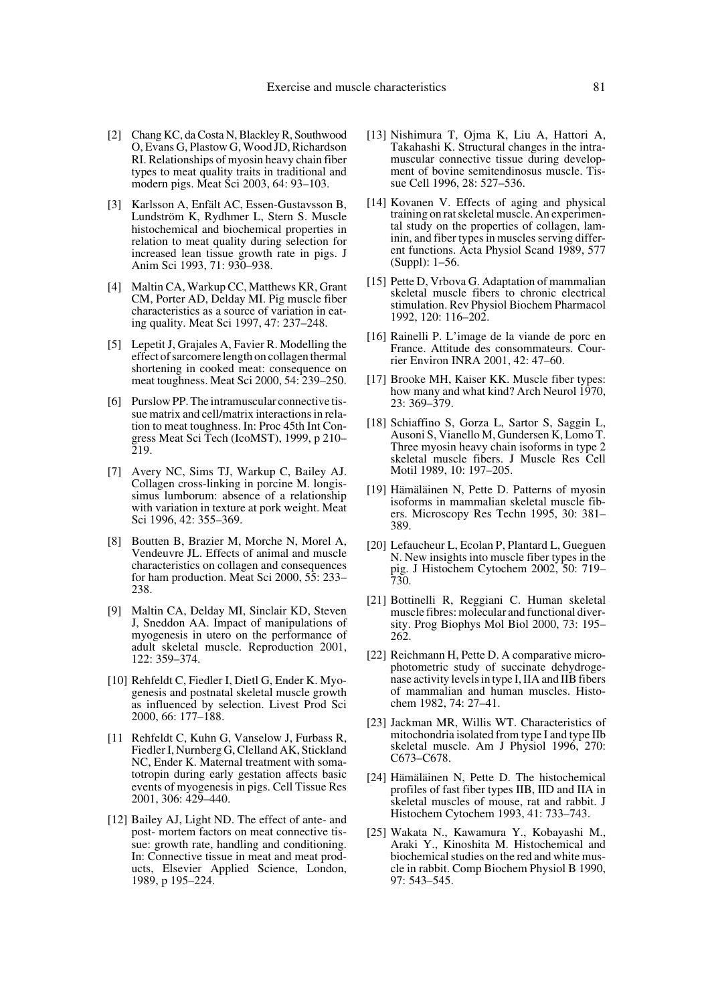- [2] Chang KC, da Costa N, Blackley R, Southwood O, Evans G, Plastow G, Wood JD, Richardson RI. Relationships of myosin heavy chain fiber types to meat quality traits in traditional and modern pigs. Meat Sci 2003, 64: 93–103.
- [3] Karlsson A, Enfält AC, Essen-Gustavsson B, Lundström K, Rydhmer L, Stern S. Muscle histochemical and biochemical properties in relation to meat quality during selection for increased lean tissue growth rate in pigs. J Anim Sci 1993, 71: 930–938.
- [4] Maltin CA, Warkup CC, Matthews KR, Grant CM, Porter AD, Delday MI. Pig muscle fiber characteristics as a source of variation in eating quality. Meat Sci 1997, 47: 237–248.
- [5] Lepetit J, Grajales A, Favier R. Modelling the effect of sarcomere length on collagen thermal shortening in cooked meat: consequence on meat toughness. Meat Sci 2000, 54: 239–250.
- [6] Purslow PP. The intramuscular connective tissue matrix and cell/matrix interactions in relation to meat toughness. In: Proc 45th Int Congress Meat Sci Tech (IcoMST), 1999, p 210– 219.
- [7] Avery NC, Sims TJ, Warkup C, Bailey AJ. Collagen cross-linking in porcine M. longissimus lumborum: absence of a relationship with variation in texture at pork weight. Meat Sci 1996, 42: 355–369.
- [8] Boutten B, Brazier M, Morche N, Morel A, Vendeuvre JL. Effects of animal and muscle characteristics on collagen and consequences for ham production. Meat Sci 2000, 55: 233– 238.
- [9] Maltin CA, Delday MI, Sinclair KD, Steven J, Sneddon AA. Impact of manipulations of myogenesis in utero on the performance of adult skeletal muscle. Reproduction 2001, 122: 359–374.
- [10] Rehfeldt C, Fiedler I, Dietl G, Ender K. Myogenesis and postnatal skeletal muscle growth as influenced by selection. Livest Prod Sci 2000, 66: 177–188.
- [11 Rehfeldt C, Kuhn G, Vanselow J, Furbass R, Fiedler I, Nurnberg G, Clelland AK, Stickland NC, Ender K. Maternal treatment with somatotropin during early gestation affects basic events of myogenesis in pigs. Cell Tissue Res 2001, 306: 429–440.
- [12] Bailey AJ, Light ND. The effect of ante- and post- mortem factors on meat connective tissue: growth rate, handling and conditioning. In: Connective tissue in meat and meat products, Elsevier Applied Science, London, 1989, p 195–224.
- [13] Nishimura T, Ojma K, Liu A, Hattori A, Takahashi K. Structural changes in the intramuscular connective tissue during development of bovine semitendinosus muscle. Tissue Cell 1996, 28: 527–536.
- [14] Kovanen V. Effects of aging and physical training on rat skeletal muscle. An experimental study on the properties of collagen, laminin, and fiber types in muscles serving different functions. Acta Physiol Scand 1989, 577 (Suppl): 1–56.
- [15] Pette D, Vrbova G. Adaptation of mammalian skeletal muscle fibers to chronic electrical stimulation. Rev Physiol Biochem Pharmacol 1992, 120: 116–202.
- [16] Rainelli P. L'image de la viande de porc en France. Attitude des consommateurs. Courrier Environ INRA 2001, 42: 47–60.
- [17] Brooke MH, Kaiser KK. Muscle fiber types: how many and what kind? Arch Neurol 1970, 23: 369–379.
- [18] Schiaffino S, Gorza L, Sartor S, Saggin L, Ausoni S, Vianello M, Gundersen K, Lomo T. Three myosin heavy chain isoforms in type 2 skeletal muscle fibers. J Muscle Res Cell Motil 1989, 10: 197–205.
- [19] Hämäläinen N, Pette D. Patterns of myosin isoforms in mammalian skeletal muscle fibers. Microscopy Res Techn 1995, 30: 381– 389.
- [20] Lefaucheur L, Ecolan P, Plantard L, Gueguen N. New insights into muscle fiber types in the pig. J Histochem Cytochem 2002, 50: 719– 730.
- [21] Bottinelli R, Reggiani C. Human skeletal muscle fibres: molecular and functional diversity. Prog Biophys Mol Biol 2000, 73: 195– 262.
- [22] Reichmann H, Pette D. A comparative microphotometric study of succinate dehydrogenase activity levels in type I, IIA and IIB fibers of mammalian and human muscles. Histochem 1982, 74: 27–41.
- [23] Jackman MR, Willis WT. Characteristics of mitochondria isolated from type I and type IIb skeletal muscle. Am J Physiol 1996, 270: C673–C678.
- [24] Hämäläinen N, Pette D. The histochemical profiles of fast fiber types IIB, IID and IIA in skeletal muscles of mouse, rat and rabbit. J Histochem Cytochem 1993, 41: 733–743.
- [25] Wakata N., Kawamura Y., Kobayashi M., Araki Y., Kinoshita M. Histochemical and biochemical studies on the red and white muscle in rabbit. Comp Biochem Physiol B 1990, 97: 543–545.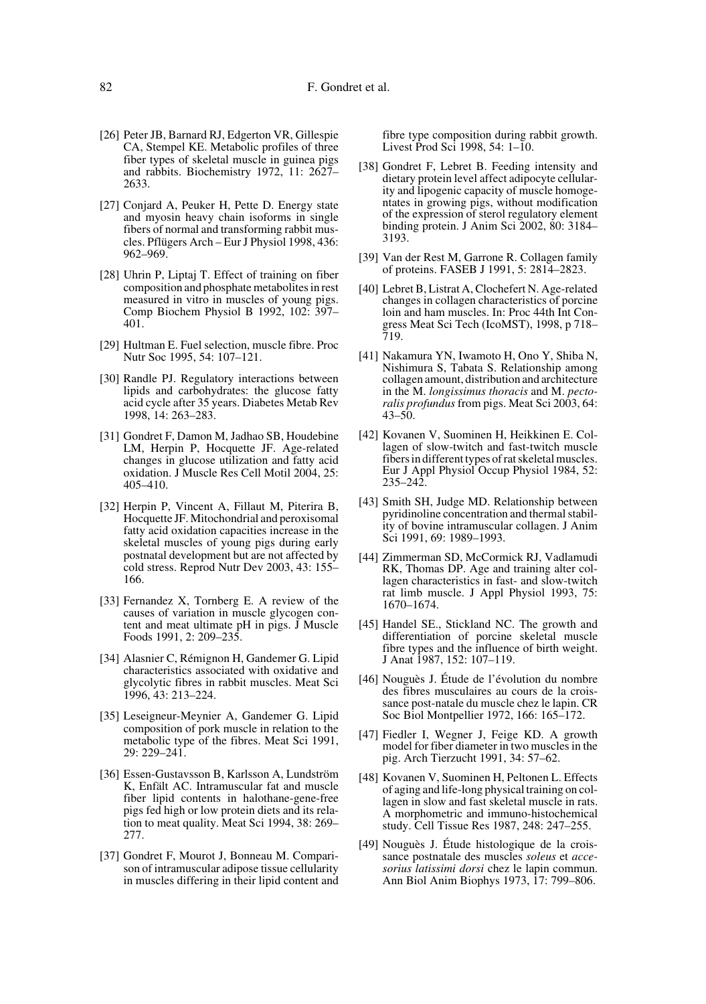- [26] Peter JB, Barnard RJ, Edgerton VR, Gillespie CA, Stempel KE. Metabolic profiles of three fiber types of skeletal muscle in guinea pigs and rabbits. Biochemistry 1972, 11: 2627– 2633.
- [27] Conjard A, Peuker H, Pette D. Energy state and myosin heavy chain isoforms in single fibers of normal and transforming rabbit muscles. Pflügers Arch – Eur J Physiol 1998, 436: 962–969.
- [28] Uhrin P, Liptaj T. Effect of training on fiber composition and phosphate metabolites in rest measured in vitro in muscles of young pigs. Comp Biochem Physiol B 1992, 102: 397– 401.
- [29] Hultman E. Fuel selection, muscle fibre. Proc Nutr Soc 1995, 54: 107–121.
- [30] Randle PJ. Regulatory interactions between lipids and carbohydrates: the glucose fatty acid cycle after 35 years. Diabetes Metab Rev 1998, 14: 263–283.
- [31] Gondret F, Damon M, Jadhao SB, Houdebine LM, Herpin P, Hocquette JF. Age-related changes in glucose utilization and fatty acid oxidation. J Muscle Res Cell Motil 2004, 25: 405–410.
- [32] Herpin P, Vincent A, Fillaut M, Piterira B, Hocquette JF. Mitochondrial and peroxisomal fatty acid oxidation capacities increase in the skeletal muscles of young pigs during early postnatal development but are not affected by cold stress. Reprod Nutr Dev 2003, 43: 155– 166.
- [33] Fernandez X, Tornberg E. A review of the causes of variation in muscle glycogen content and meat ultimate pH in pigs. J Muscle Foods 1991, 2: 209–235.
- [34] Alasnier C, Rémignon H, Gandemer G. Lipid characteristics associated with oxidative and glycolytic fibres in rabbit muscles. Meat Sci 1996, 43: 213–224.
- [35] Leseigneur-Meynier A, Gandemer G. Lipid composition of pork muscle in relation to the metabolic type of the fibres. Meat Sci 1991, 29: 229–241.
- [36] Essen-Gustavsson B, Karlsson A, Lundström K, Enfält AC. Intramuscular fat and muscle fiber lipid contents in halothane-gene-free pigs fed high or low protein diets and its relation to meat quality. Meat Sci 1994, 38: 269– 277.
- [37] Gondret F, Mourot J, Bonneau M. Comparison of intramuscular adipose tissue cellularity in muscles differing in their lipid content and

fibre type composition during rabbit growth. Livest Prod Sci 1998, 54: 1–10.

- [38] Gondret F, Lebret B. Feeding intensity and dietary protein level affect adipocyte cellularity and lipogenic capacity of muscle homogentates in growing pigs, without modification of the expression of sterol regulatory element binding protein. J Anim Sci 2002, 80: 3184– 3193.
- [39] Van der Rest M, Garrone R. Collagen family of proteins. FASEB J 1991, 5: 2814–2823.
- [40] Lebret B, Listrat A, Clochefert N. Age-related changes in collagen characteristics of porcine loin and ham muscles. In: Proc 44th Int Congress Meat Sci Tech (IcoMST), 1998, p 718– 719.
- [41] Nakamura YN, Iwamoto H, Ono Y, Shiba N, Nishimura S, Tabata S. Relationship among collagen amount, distribution and architecture in the M. *longissimus thoracis* and M. *pectoralis profundus* from pigs. Meat Sci 2003, 64: 43–50.
- [42] Kovanen V, Suominen H, Heikkinen E. Collagen of slow-twitch and fast-twitch muscle fibers in different types of rat skeletal muscles. Eur J Appl Physiol Occup Physiol 1984, 52: 235–242.
- [43] Smith SH, Judge MD. Relationship between pyridinoline concentration and thermal stability of bovine intramuscular collagen. J Anim Sci 1991, 69: 1989–1993.
- [44] Zimmerman SD, McCormick RJ, Vadlamudi RK, Thomas DP. Age and training alter collagen characteristics in fast- and slow-twitch rat limb muscle. J Appl Physiol 1993, 75: 1670–1674.
- [45] Handel SE., Stickland NC. The growth and differentiation of porcine skeletal muscle fibre types and the influence of birth weight. J Anat 1987, 152: 107–119.
- [46] Nouguès J. Étude de l'évolution du nombre des fibres musculaires au cours de la croissance post-natale du muscle chez le lapin. CR Soc Biol Montpellier 1972, 166: 165–172.
- [47] Fiedler I, Wegner J, Feige KD. A growth model for fiber diameter in two muscles in the pig. Arch Tierzucht 1991, 34: 57–62.
- [48] Kovanen V, Suominen H, Peltonen L. Effects of aging and life-long physical training on collagen in slow and fast skeletal muscle in rats. A morphometric and immuno-histochemical study. Cell Tissue Res 1987, 248: 247–255.
- [49] Nouguès J. Étude histologique de la croissance postnatale des muscles *soleus* et *accesorius latissimi dorsi* chez le lapin commun. Ann Biol Anim Biophys 1973, 17: 799–806.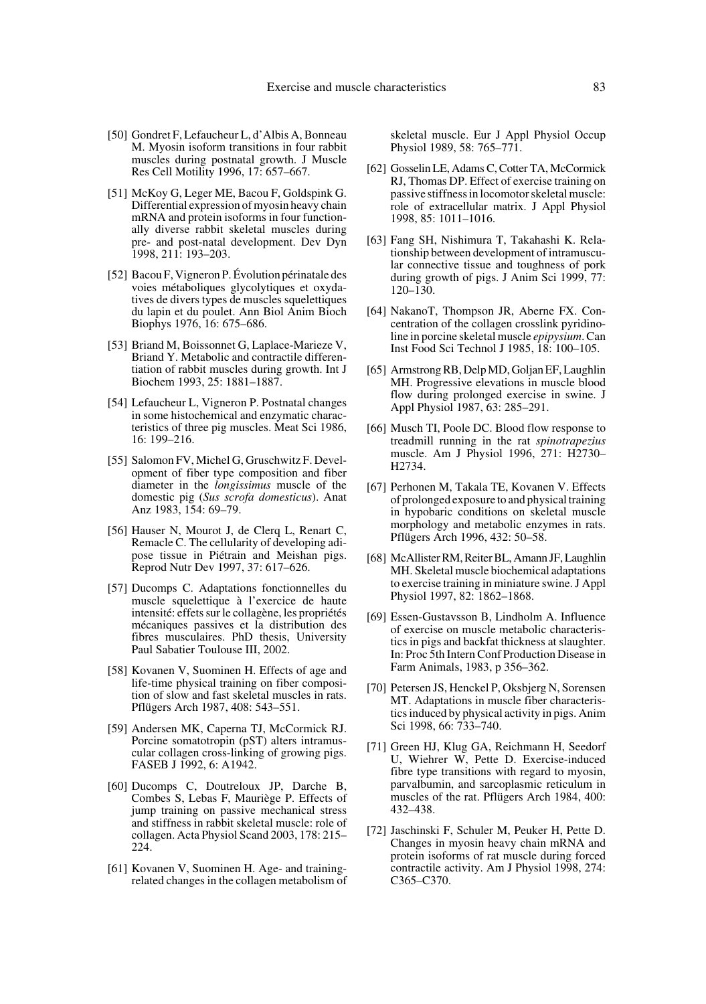- [50] Gondret F, Lefaucheur L, d'Albis A, Bonneau M. Myosin isoform transitions in four rabbit muscles during postnatal growth. J Muscle Res Cell Motility 1996, 17: 657–667.
- [51] McKoy G, Leger ME, Bacou F, Goldspink G. Differential expression of myosin heavy chain mRNA and protein isoforms in four functionally diverse rabbit skeletal muscles during pre- and post-natal development. Dev Dyn 1998, 211: 193–203.
- [52] Bacou F, Vigneron P. Évolution périnatale des voies métaboliques glycolytiques et oxydatives de divers types de muscles squelettiques du lapin et du poulet. Ann Biol Anim Bioch Biophys 1976, 16: 675–686.
- [53] Briand M, Boissonnet G, Laplace-Marieze V, Briand Y. Metabolic and contractile differentiation of rabbit muscles during growth. Int J Biochem 1993, 25: 1881–1887.
- [54] Lefaucheur L, Vigneron P. Postnatal changes in some histochemical and enzymatic characteristics of three pig muscles. Meat Sci 1986, 16: 199–216.
- [55] Salomon FV, Michel G, Gruschwitz F. Development of fiber type composition and fiber diameter in the *longissimus* muscle of the domestic pig (*Sus scrofa domesticus*). Anat Anz 1983, 154: 69–79.
- [56] Hauser N, Mourot J, de Clerq L, Renart C, Remacle C. The cellularity of developing adipose tissue in Piétrain and Meishan pigs. Reprod Nutr Dev 1997, 37: 617–626.
- [57] Ducomps C. Adaptations fonctionnelles du muscle squelettique à l'exercice de haute intensité: effets sur le collagène, les propriétés mécaniques passives et la distribution des fibres musculaires. PhD thesis, University Paul Sabatier Toulouse III, 2002.
- [58] Kovanen V, Suominen H. Effects of age and life-time physical training on fiber composition of slow and fast skeletal muscles in rats. Pflügers Arch 1987, 408: 543–551.
- [59] Andersen MK, Caperna TJ, McCormick RJ. Porcine somatotropin (pST) alters intramuscular collagen cross-linking of growing pigs. FASEB J 1992, 6: A1942.
- [60] Ducomps C, Doutreloux JP, Darche B, Combes S, Lebas F, Mauriège P. Effects of jump training on passive mechanical stress and stiffness in rabbit skeletal muscle: role of collagen. Acta Physiol Scand 2003, 178: 215– 224.
- [61] Kovanen V, Suominen H. Age- and trainingrelated changes in the collagen metabolism of

skeletal muscle. Eur J Appl Physiol Occup Physiol 1989, 58: 765–771.

- [62] Gosselin LE, Adams C, Cotter TA, McCormick RJ, Thomas DP. Effect of exercise training on passive stiffness in locomotor skeletal muscle: role of extracellular matrix. J Appl Physiol 1998, 85: 1011–1016.
- [63] Fang SH, Nishimura T, Takahashi K. Relationship between development of intramuscular connective tissue and toughness of pork during growth of pigs. J Anim Sci 1999, 77: 120–130.
- [64] NakanoT, Thompson JR, Aberne FX. Concentration of the collagen crosslink pyridinoline in porcine skeletal muscle *epipysium*. Can Inst Food Sci Technol J 1985, 18: 100–105.
- [65] Armstrong RB, Delp MD, Goljan EF, Laughlin MH. Progressive elevations in muscle blood flow during prolonged exercise in swine. J Appl Physiol 1987, 63: 285–291.
- [66] Musch TI, Poole DC. Blood flow response to treadmill running in the rat *spinotrapezius* muscle. Am J Physiol 1996, 271: H2730– H2734.
- [67] Perhonen M, Takala TE, Kovanen V. Effects of prolonged exposure to and physical training in hypobaric conditions on skeletal muscle morphology and metabolic enzymes in rats. Pflügers Arch 1996, 432: 50–58.
- [68] McAllister RM, Reiter BL, Amann JF, Laughlin MH. Skeletal muscle biochemical adaptations to exercise training in miniature swine. J Appl Physiol 1997, 82: 1862–1868.
- [69] Essen-Gustavsson B, Lindholm A. Influence of exercise on muscle metabolic characteristics in pigs and backfat thickness at slaughter. In: Proc 5th Intern Conf Production Disease in Farm Animals, 1983, p 356–362.
- [70] Petersen JS, Henckel P, Oksbjerg N, Sorensen MT. Adaptations in muscle fiber characteristics induced by physical activity in pigs. Anim Sci 1998, 66: 733–740.
- [71] Green HJ, Klug GA, Reichmann H, Seedorf U, Wiehrer W, Pette D. Exercise-induced fibre type transitions with regard to myosin, parvalbumin, and sarcoplasmic reticulum in muscles of the rat. Pflügers Arch 1984, 400: 432–438.
- [72] Jaschinski F, Schuler M, Peuker H, Pette D. Changes in myosin heavy chain mRNA and protein isoforms of rat muscle during forced contractile activity. Am J Physiol 1998, 274: C365–C370.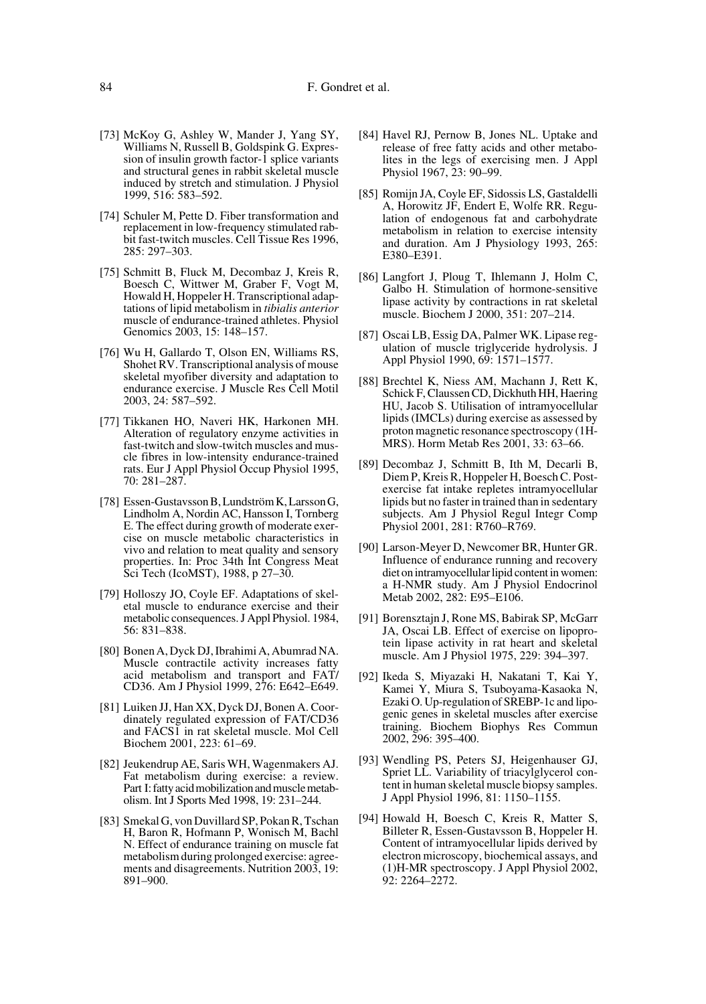- [73] McKoy G, Ashley W, Mander J, Yang SY, Williams N, Russell B, Goldspink G. Expression of insulin growth factor-1 splice variants and structural genes in rabbit skeletal muscle induced by stretch and stimulation. J Physiol 1999, 516: 583–592.
- [74] Schuler M, Pette D. Fiber transformation and replacement in low-frequency stimulated rabbit fast-twitch muscles. Cell Tissue Res 1996, 285: 297–303.
- [75] Schmitt B, Fluck M, Decombaz J, Kreis R, Boesch C, Wittwer M, Graber F, Vogt M, Howald H, Hoppeler H. Transcriptional adaptations of lipid metabolism in *tibialis anterior* muscle of endurance-trained athletes. Physiol Genomics 2003, 15: 148–157.
- [76] Wu H, Gallardo T, Olson EN, Williams RS, Shohet RV. Transcriptional analysis of mouse skeletal myofiber diversity and adaptation to endurance exercise. J Muscle Res Cell Motil 2003, 24: 587–592.
- [77] Tikkanen HO, Naveri HK, Harkonen MH. Alteration of regulatory enzyme activities in fast-twitch and slow-twitch muscles and muscle fibres in low-intensity endurance-trained rats. Eur J Appl Physiol Occup Physiol 1995, 70: 281–287.
- [78] Essen-Gustavsson B, Lundström K, Larsson G, Lindholm A, Nordin AC, Hansson I, Tornberg E. The effect during growth of moderate exercise on muscle metabolic characteristics in vivo and relation to meat quality and sensory properties. In: Proc 34th Int Congress Meat Sci Tech (IcoMST), 1988, p 27–30.
- [79] Holloszy JO, Coyle EF. Adaptations of skeletal muscle to endurance exercise and their metabolic consequences. J Appl Physiol. 1984, 56: 831–838.
- [80] Bonen A, Dyck DJ, Ibrahimi A, Abumrad NA. Muscle contractile activity increases fatty acid metabolism and transport and FAT/ CD36. Am J Physiol 1999, 276: E642–E649.
- [81] Luiken JJ, Han XX, Dyck DJ, Bonen A. Coordinately regulated expression of FAT/CD36 and FACS1 in rat skeletal muscle. Mol Cell Biochem 2001, 223: 61–69.
- [82] Jeukendrup AE, Saris WH, Wagenmakers AJ. Fat metabolism during exercise: a review. Part I: fatty acid mobilization and muscle metabolism. Int J Sports Med 1998, 19: 231–244.
- [83] Smekal G, von Duvillard SP, Pokan R, Tschan H, Baron R, Hofmann P, Wonisch M, Bachl N. Effect of endurance training on muscle fat metabolism during prolonged exercise: agreements and disagreements. Nutrition 2003, 19: 891–900.
- [84] Havel RJ, Pernow B, Jones NL. Uptake and release of free fatty acids and other metabolites in the legs of exercising men. J Appl Physiol 1967, 23: 90–99.
- [85] Romijn JA, Coyle EF, Sidossis LS, Gastaldelli A, Horowitz JF, Endert E, Wolfe RR. Regulation of endogenous fat and carbohydrate metabolism in relation to exercise intensity and duration. Am J Physiology 1993, 265: E380–E391.
- [86] Langfort J, Ploug T, Ihlemann J, Holm C, Galbo H. Stimulation of hormone-sensitive lipase activity by contractions in rat skeletal muscle. Biochem J 2000, 351: 207–214.
- [87] Oscai LB, Essig DA, Palmer WK. Lipase regulation of muscle triglyceride hydrolysis. J Appl Physiol 1990, 69: 1571–1577.
- [88] Brechtel K, Niess AM, Machann J, Rett K, Schick F, Claussen CD, Dickhuth HH, Haering HU, Jacob S. Utilisation of intramyocellular lipids (IMCLs) during exercise as assessed by proton magnetic resonance spectroscopy (1H-MRS). Horm Metab Res 2001, 33: 63–66.
- [89] Decombaz J, Schmitt B, Ith M, Decarli B, Diem P, Kreis R, Hoppeler H, Boesch C. Postexercise fat intake repletes intramyocellular lipids but no faster in trained than in sedentary subjects. Am J Physiol Regul Integr Comp Physiol 2001, 281: R760–R769.
- [90] Larson-Meyer D, Newcomer BR, Hunter GR. Influence of endurance running and recovery diet on intramyocellular lipid content in women: a H-NMR study. Am J Physiol Endocrinol Metab 2002, 282: E95–E106.
- [91] Borensztajn J, Rone MS, Babirak SP, McGarr JA, Oscai LB. Effect of exercise on lipoprotein lipase activity in rat heart and skeletal muscle. Am J Physiol 1975, 229: 394–397.
- [92] Ikeda S, Miyazaki H, Nakatani T, Kai Y, Kamei Y, Miura S, Tsuboyama-Kasaoka N, Ezaki O. Up-regulation of SREBP-1c and lipogenic genes in skeletal muscles after exercise training. Biochem Biophys Res Commun 2002, 296: 395–400.
- [93] Wendling PS, Peters SJ, Heigenhauser GJ, Spriet LL. Variability of triacylglycerol content in human skeletal muscle biopsy samples. J Appl Physiol 1996, 81: 1150–1155.
- [94] Howald H, Boesch C, Kreis R, Matter S, Billeter R, Essen-Gustavsson B, Hoppeler H. Content of intramyocellular lipids derived by electron microscopy, biochemical assays, and (1)H-MR spectroscopy. J Appl Physiol 2002, 92: 2264–2272.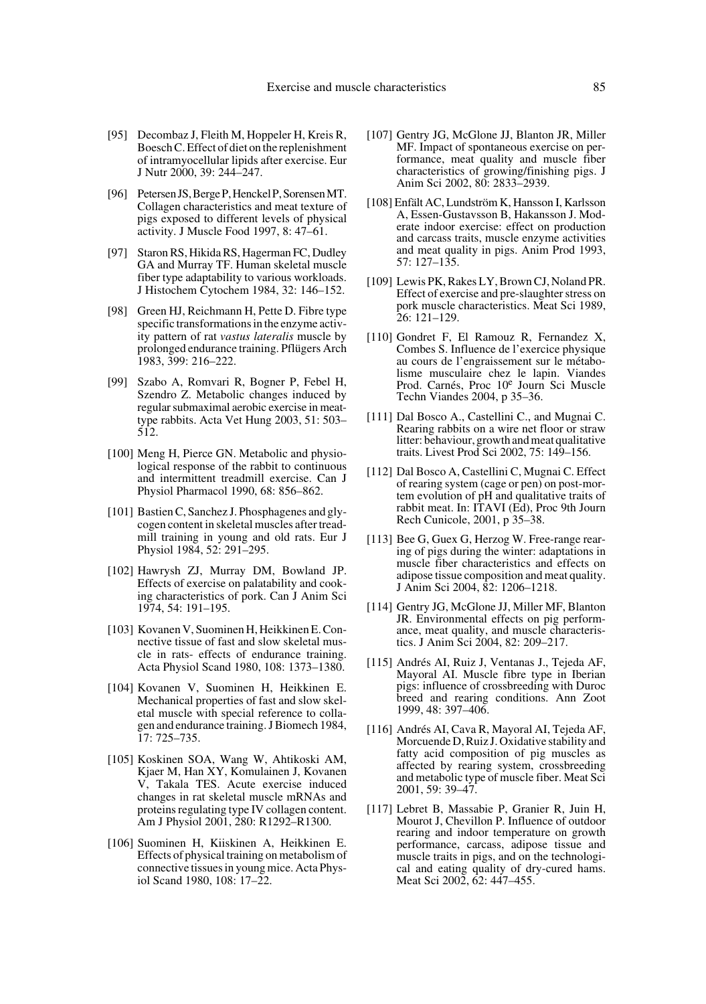- [95] Decombaz J, Fleith M, Hoppeler H, Kreis R, Boesch C. Effect of diet on the replenishment of intramyocellular lipids after exercise. Eur J Nutr 2000, 39: 244–247.
- [96] Petersen JS, Berge P, Henckel P, Sorensen MT. Collagen characteristics and meat texture of pigs exposed to different levels of physical activity. J Muscle Food 1997, 8: 47–61.
- [97] Staron RS, Hikida RS, Hagerman FC, Dudley GA and Murray TF. Human skeletal muscle fiber type adaptability to various workloads. J Histochem Cytochem 1984, 32: 146–152.
- [98] Green HJ, Reichmann H, Pette D. Fibre type specific transformations in the enzyme activity pattern of rat *vastus lateralis* muscle by prolonged endurance training. Pflügers Arch 1983, 399: 216–222.
- [99] Szabo A, Romvari R, Bogner P, Febel H, Szendro Z. Metabolic changes induced by regular submaximal aerobic exercise in meattype rabbits. Acta Vet Hung 2003, 51: 503– 512.
- [100] Meng H, Pierce GN. Metabolic and physiological response of the rabbit to continuous and intermittent treadmill exercise. Can J Physiol Pharmacol 1990, 68: 856–862.
- [101] Bastien C, Sanchez J. Phosphagenes and glycogen content in skeletal muscles after treadmill training in young and old rats. Eur J Physiol 1984, 52: 291–295.
- [102] Hawrysh ZJ, Murray DM, Bowland JP. Effects of exercise on palatability and cooking characteristics of pork. Can J Anim Sci 1974, 54: 191–195.
- [103] Kovanen V, Suominen H, Heikkinen E. Connective tissue of fast and slow skeletal muscle in rats- effects of endurance training. Acta Physiol Scand 1980, 108: 1373–1380.
- [104] Kovanen V, Suominen H, Heikkinen E. Mechanical properties of fast and slow skeletal muscle with special reference to collagen and endurance training. J Biomech 1984, 17: 725–735.
- [105] Koskinen SOA, Wang W, Ahtikoski AM, Kjaer M, Han XY, Komulainen J, Kovanen V, Takala TES. Acute exercise induced changes in rat skeletal muscle mRNAs and proteins regulating type IV collagen content. Am J Physiol 2001, 280: R1292–R1300.
- [106] Suominen H, Kiiskinen A, Heikkinen E. Effects of physical training on metabolism of connective tissues in young mice. Acta Physiol Scand 1980, 108: 17–22.
- [107] Gentry JG, McGlone JJ, Blanton JR, Miller MF. Impact of spontaneous exercise on performance, meat quality and muscle fiber characteristics of growing/finishing pigs. J Anim Sci 2002, 80: 2833–2939.
- [108] Enfält AC, Lundström K, Hansson I, Karlsson A, Essen-Gustavsson B, Hakansson J. Moderate indoor exercise: effect on production and carcass traits, muscle enzyme activities and meat quality in pigs. Anim Prod 1993, 57: 127–135.
- [109] Lewis PK, Rakes LY, Brown CJ, Noland PR. Effect of exercise and pre-slaughter stress on pork muscle characteristics. Meat Sci 1989, 26: 121–129.
- [110] Gondret F, El Ramouz R, Fernandez X, Combes S. Influence de l'exercice physique au cours de l'engraissement sur le métabolisme musculaire chez le lapin. Viandes Prod. Carnés, Proc 10e Journ Sci Muscle Techn Viandes 2004, p 35–36.
- [111] Dal Bosco A., Castellini C., and Mugnai C. Rearing rabbits on a wire net floor or straw litter: behaviour, growth and meat qualitative traits. Livest Prod Sci 2002, 75: 149–156.
- [112] Dal Bosco A, Castellini C, Mugnai C. Effect of rearing system (cage or pen) on post-mortem evolution of pH and qualitative traits of rabbit meat. In: ITAVI (Ed), Proc 9th Journ Rech Cunicole, 2001, p 35–38.
- [113] Bee G, Guex G, Herzog W. Free-range rearing of pigs during the winter: adaptations in muscle fiber characteristics and effects on adipose tissue composition and meat quality. J Anim Sci 2004, 82: 1206–1218.
- [114] Gentry JG, McGlone JJ, Miller MF, Blanton JR. Environmental effects on pig performance, meat quality, and muscle characteristics. J Anim Sci 2004, 82: 209–217.
- [115] Andrés AI, Ruiz J, Ventanas J., Tejeda AF, Mayoral AI. Muscle fibre type in Iberian pigs: influence of crossbreeding with Duroc breed and rearing conditions. Ann Zoot 1999, 48: 397–406.
- [116] Andrés AI, Cava R, Mayoral AI, Tejeda AF, Morcuende D, Ruiz J. Oxidative stability and fatty acid composition of pig muscles as affected by rearing system, crossbreeding and metabolic type of muscle fiber. Meat Sci 2001, 59: 39–47.
- [117] Lebret B, Massabie P, Granier R, Juin H, Mourot J, Chevillon P. Influence of outdoor rearing and indoor temperature on growth performance, carcass, adipose tissue and muscle traits in pigs, and on the technological and eating quality of dry-cured hams. Meat Sci 2002, 62: 447–455.